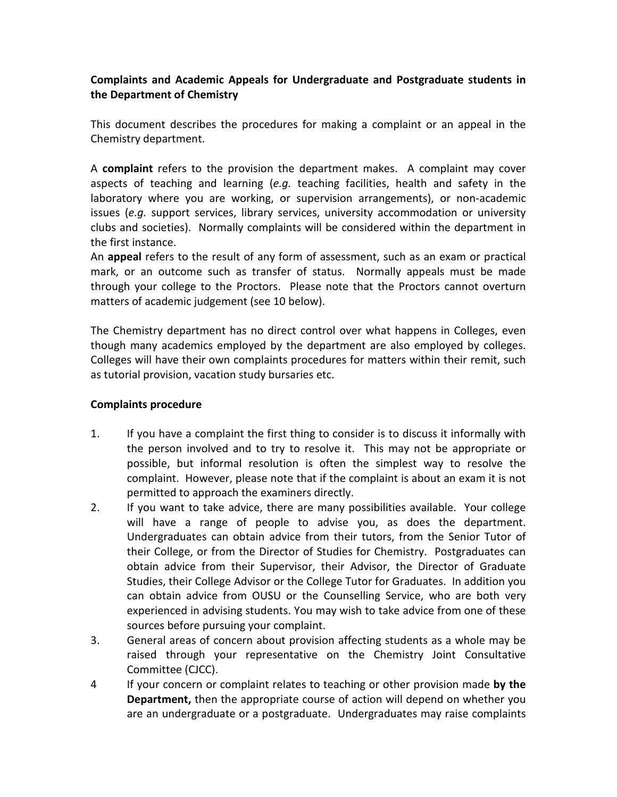## **Complaints and Academic Appeals for Undergraduate and Postgraduate students in the Department of Chemistry**

This document describes the procedures for making a complaint or an appeal in the Chemistry department.

A **complaint** refers to the provision the department makes. A complaint may cover aspects of teaching and learning (*e.g.* teaching facilities, health and safety in the laboratory where you are working, or supervision arrangements), or non-academic issues (*e.g.* support services, library services, university accommodation or university clubs and societies). Normally complaints will be considered within the department in the first instance.

An **appeal** refers to the result of any form of assessment, such as an exam or practical mark, or an outcome such as transfer of status. Normally appeals must be made through your college to the Proctors. Please note that the Proctors cannot overturn matters of academic judgement (see 10 below).

The Chemistry department has no direct control over what happens in Colleges, even though many academics employed by the department are also employed by colleges. Colleges will have their own complaints procedures for matters within their remit, such as tutorial provision, vacation study bursaries etc.

## **Complaints procedure**

- 1. If you have a complaint the first thing to consider is to discuss it informally with the person involved and to try to resolve it. This may not be appropriate or possible, but informal resolution is often the simplest way to resolve the complaint. However, please note that if the complaint is about an exam it is not permitted to approach the examiners directly.
- 2. If you want to take advice, there are many possibilities available. Your college will have a range of people to advise you, as does the department. Undergraduates can obtain advice from their tutors, from the Senior Tutor of their College, or from the Director of Studies for Chemistry. Postgraduates can obtain advice from their Supervisor, their Advisor, the Director of Graduate Studies, their College Advisor or the College Tutor for Graduates. In addition you can obtain advice from OUSU or the Counselling Service, who are both very experienced in advising students. You may wish to take advice from one of these sources before pursuing your complaint.
- 3. General areas of concern about provision affecting students as a whole may be raised through your representative on the Chemistry Joint Consultative Committee (CJCC).
- 4 If your concern or complaint relates to teaching or other provision made **by the Department,** then the appropriate course of action will depend on whether you are an undergraduate or a postgraduate. Undergraduates may raise complaints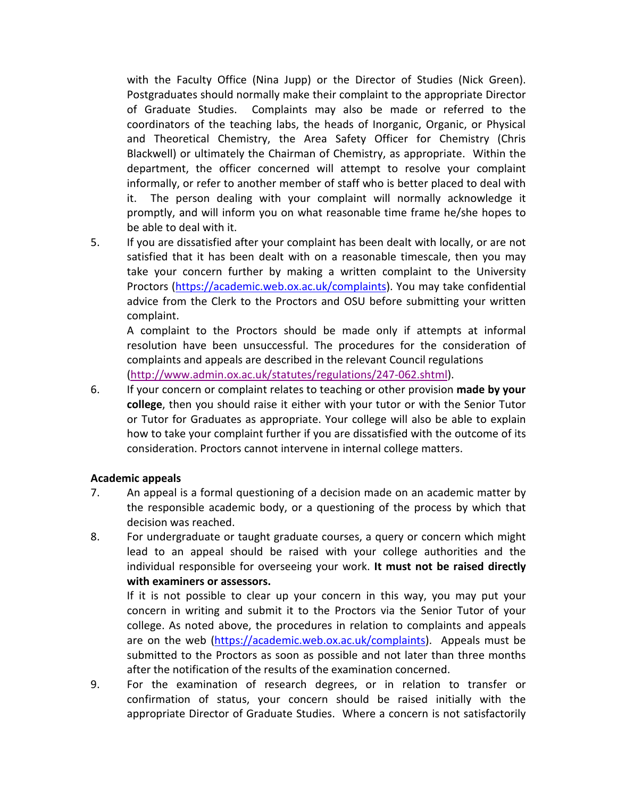with the Faculty Office (Nina Jupp) or the Director of Studies (Nick Green). Postgraduates should normally make their complaint to the appropriate Director of Graduate Studies. Complaints may also be made or referred to the coordinators of the teaching labs, the heads of Inorganic, Organic, or Physical and Theoretical Chemistry, the Area Safety Officer for Chemistry (Chris Blackwell) or ultimately the Chairman of Chemistry, as appropriate. Within the department, the officer concerned will attempt to resolve your complaint informally, or refer to another member of staff who is better placed to deal with it. The person dealing with your complaint will normally acknowledge it promptly, and will inform you on what reasonable time frame he/she hopes to be able to deal with it.

5. If you are dissatisfied after your complaint has been dealt with locally, or are not satisfied that it has been dealt with on a reasonable timescale, then you may take your concern further by making a written complaint to the University Proctors [\(https://academic.web.ox.ac.uk/complaints\)](https://academic.web.ox.ac.uk/complaints). You may take confidential advice from the Clerk to the Proctors and OSU before submitting your written complaint.

A complaint to the Proctors should be made only if attempts at informal resolution have been unsuccessful. The procedures for the consideration of complaints and appeals are described in the relevant Council regulations [\(http://www.admin.ox.ac.uk/statutes/regulations/247-062.shtml\)](http://www.admin.ox.ac.uk/statutes/regulations/247-062.shtml).

6. If your concern or complaint relates to teaching or other provision **made by your college**, then you should raise it either with your tutor or with the Senior Tutor or Tutor for Graduates as appropriate. Your college will also be able to explain how to take your complaint further if you are dissatisfied with the outcome of its consideration. Proctors cannot intervene in internal college matters.

## **Academic appeals**

- 7. An appeal is a formal questioning of a decision made on an academic matter by the responsible academic body, or a questioning of the process by which that decision was reached.
- 8. For undergraduate or taught graduate courses, a query or concern which might lead to an appeal should be raised with your college authorities and the individual responsible for overseeing your work. **It must not be raised directly with examiners or assessors.**

If it is not possible to clear up your concern in this way, you may put your concern in writing and submit it to the Proctors via the Senior Tutor of your college. As noted above, the procedures in relation to complaints and appeals are on the web [\(https://academic.web.ox.ac.uk/complaints\)](https://academic.web.ox.ac.uk/complaints). Appeals must be submitted to the Proctors as soon as possible and not later than three months after the notification of the results of the examination concerned.

9. For the examination of research degrees, or in relation to transfer or confirmation of status, your concern should be raised initially with the appropriate Director of Graduate Studies. Where a concern is not satisfactorily